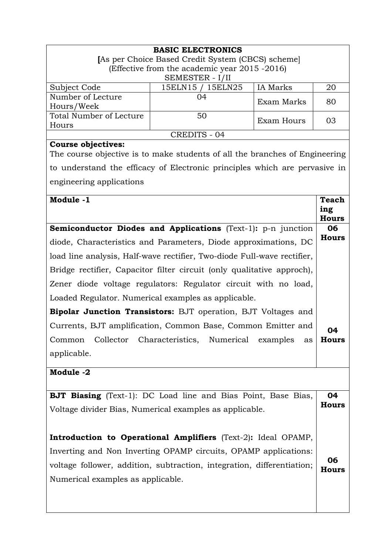|                                                                                                          | <b>BASIC ELECTRONICS</b> |            |                     |  |
|----------------------------------------------------------------------------------------------------------|--------------------------|------------|---------------------|--|
| [As per Choice Based Credit System (CBCS) scheme]<br>(Effective from the academic year 2015 -2016)       |                          |            |                     |  |
| SEMESTER - I/II                                                                                          |                          |            |                     |  |
| Subject Code                                                                                             | 15ELN15 / 15ELN25        | IA Marks   | 20                  |  |
| Number of Lecture<br>Hours/Week                                                                          | 04                       | Exam Marks | 80                  |  |
| Total Number of Lecture                                                                                  | 50                       |            |                     |  |
| Hours                                                                                                    |                          | Exam Hours | 03                  |  |
| <b>CREDITS - 04</b>                                                                                      |                          |            |                     |  |
| <b>Course objectives:</b><br>The course objective is to make students of all the branches of Engineering |                          |            |                     |  |
| to understand the efficacy of Electronic principles which are pervasive in                               |                          |            |                     |  |
|                                                                                                          |                          |            |                     |  |
| engineering applications                                                                                 |                          |            |                     |  |
| Module -1                                                                                                |                          |            | <b>Teach</b>        |  |
|                                                                                                          |                          |            | ing<br><b>Hours</b> |  |
| Semiconductor Diodes and Applications (Text-1): p-n junction                                             |                          |            | 06                  |  |
| diode, Characteristics and Parameters, Diode approximations, DC                                          |                          |            | <b>Hours</b>        |  |
| load line analysis, Half-wave rectifier, Two-diode Full-wave rectifier,                                  |                          |            |                     |  |
| Bridge rectifier, Capacitor filter circuit (only qualitative approch),                                   |                          |            |                     |  |
| Zener diode voltage regulators: Regulator circuit with no load,                                          |                          |            |                     |  |
| Loaded Regulator. Numerical examples as applicable.                                                      |                          |            |                     |  |
| <b>Bipolar Junction Transistors:</b> BJT operation, BJT Voltages and                                     |                          |            |                     |  |
| Currents, BJT amplification, Common Base, Common Emitter and                                             |                          |            |                     |  |
| Collector Characteristics, Numerical examples<br>Common<br>as                                            |                          |            |                     |  |
| applicable.                                                                                              |                          |            |                     |  |
| Module -2                                                                                                |                          |            |                     |  |
|                                                                                                          |                          |            |                     |  |
| <b>BJT Biasing</b> (Text-1): DC Load line and Bias Point, Base Bias,                                     |                          |            | 04                  |  |
| Voltage divider Bias, Numerical examples as applicable.                                                  |                          |            | <b>Hours</b>        |  |
|                                                                                                          |                          |            |                     |  |
| Introduction to Operational Amplifiers (Text-2): Ideal OPAMP,                                            |                          |            |                     |  |
| Inverting and Non Inverting OPAMP circuits, OPAMP applications:                                          |                          |            |                     |  |
| voltage follower, addition, subtraction, integration, differentiation;                                   |                          |            |                     |  |
| Numerical examples as applicable.                                                                        |                          |            |                     |  |
|                                                                                                          |                          |            |                     |  |
|                                                                                                          |                          |            |                     |  |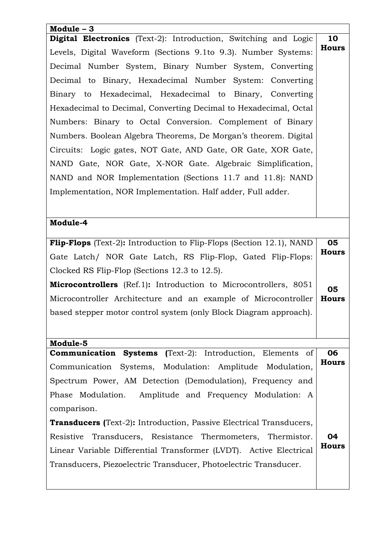| Module $-3$                                                                 |       |  |  |
|-----------------------------------------------------------------------------|-------|--|--|
| <b>Digital Electronics</b> (Text-2): Introduction, Switching and Logic      |       |  |  |
| Levels, Digital Waveform (Sections 9.1to 9.3). Number Systems:              |       |  |  |
| Decimal Number System, Binary Number System, Converting                     |       |  |  |
| Decimal to Binary, Hexadecimal Number System: Converting                    |       |  |  |
| Binary to Hexadecimal, Hexadecimal to Binary, Converting                    |       |  |  |
| Hexadecimal to Decimal, Converting Decimal to Hexadecimal, Octal            |       |  |  |
| Numbers: Binary to Octal Conversion. Complement of Binary                   |       |  |  |
| Numbers. Boolean Algebra Theorems, De Morgan's theorem. Digital             |       |  |  |
| Circuits: Logic gates, NOT Gate, AND Gate, OR Gate, XOR Gate,               |       |  |  |
| NAND Gate, NOR Gate, X-NOR Gate. Algebraic Simplification,                  |       |  |  |
| NAND and NOR Implementation (Sections 11.7 and 11.8): NAND                  |       |  |  |
| Implementation, NOR Implementation. Half adder, Full adder.                 |       |  |  |
|                                                                             |       |  |  |
| Module-4                                                                    |       |  |  |
| <b>Flip-Flops</b> (Text-2): Introduction to Flip-Flops (Section 12.1), NAND |       |  |  |
| Gate Latch/ NOR Gate Latch, RS Flip-Flop, Gated Flip-Flops:                 |       |  |  |
| Clocked RS Flip-Flop (Sections 12.3 to 12.5).                               |       |  |  |
| <b>Microcontrollers</b> (Ref.1): Introduction to Microcontrollers, 8051     |       |  |  |
| Microcontroller Architecture and an example of Microcontroller              |       |  |  |
| based stepper motor control system (only Block Diagram approach).           |       |  |  |
|                                                                             |       |  |  |
| Module-5                                                                    |       |  |  |
| <b>Communication Systems</b> (Text-2): Introduction, Elements of            |       |  |  |
| Communication Systems, Modulation: Amplitude Modulation,                    | Hours |  |  |
| Spectrum Power, AM Detection (Demodulation), Frequency and                  |       |  |  |
| Phase Modulation. Amplitude and Frequency Modulation: A                     |       |  |  |
| comparison.                                                                 |       |  |  |
| <b>Transducers (Text-2): Introduction, Passive Electrical Transducers,</b>  |       |  |  |
| Resistive Transducers, Resistance Thermometers, Thermistor.                 |       |  |  |
| Linear Variable Differential Transformer (LVDT). Active Electrical          |       |  |  |
| Transducers, Piezoelectric Transducer, Photoelectric Transducer.            |       |  |  |
|                                                                             |       |  |  |